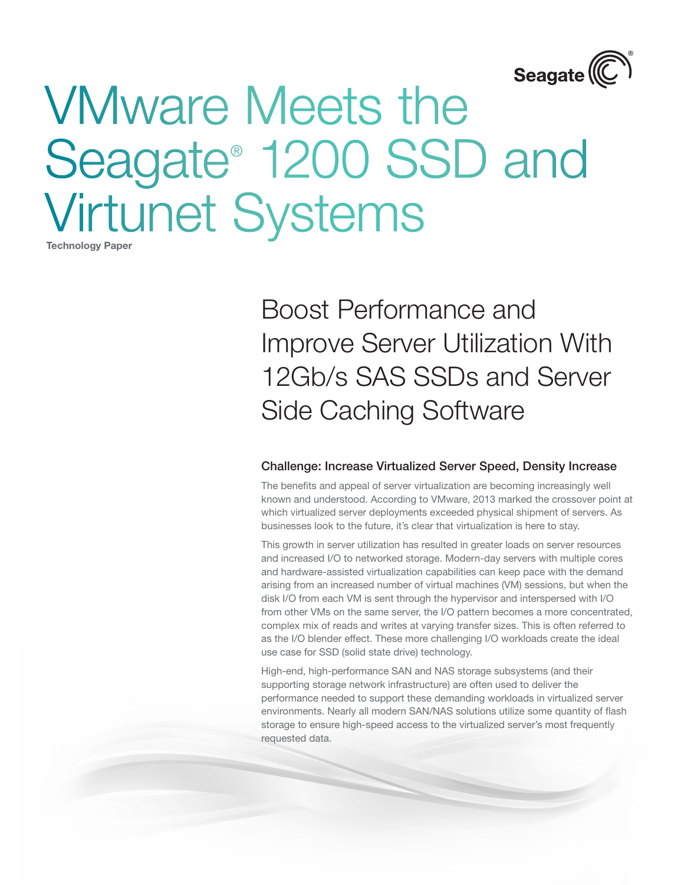

Technology Paper

Boost Performance and Improve Server Utilization With 12Gb/s SAS SSDs and Server Side Caching Software

#### Challenge: Increase Virtualized Server Speed, Density Increase

The benefits and appeal of server virtualization are becoming increasingly well known and understood. According to VMware, 2013 marked the crossover point at which virtualized server deployments exceeded physical shipment of servers. As businesses look to the future, it's clear that virtualization is here to stay.

This growth in server utilization has resulted in greater loads on server resources and increased I/O to networked storage. Modern-day servers with multiple cores and hardware-assisted virtualization capabilities can keep pace with the demand arising from an increased number of virtual machines (VM) sessions, but when the disk I/O from each VM is sent through the hypervisor and interspersed with I/O from other VMs on the same server, the I/O pattern becomes a more concentrated, complex mix of reads and writes at varying transfer sizes. This is often referred to as the I/O blender effect. These more challenging I/O workloads create the ideal use case for SSD (solid state drive) technology.

High-end, high-performance SAN and NAS storage subsystems (and their supporting storage network infrastructure) are often used to deliver the performance needed to support these demanding workloads in virtualized server environments. Nearly all modern SAN/NAS solutions utilize some quantity of flash storage to ensure high-speed access to the virtualized server's most frequently requested data.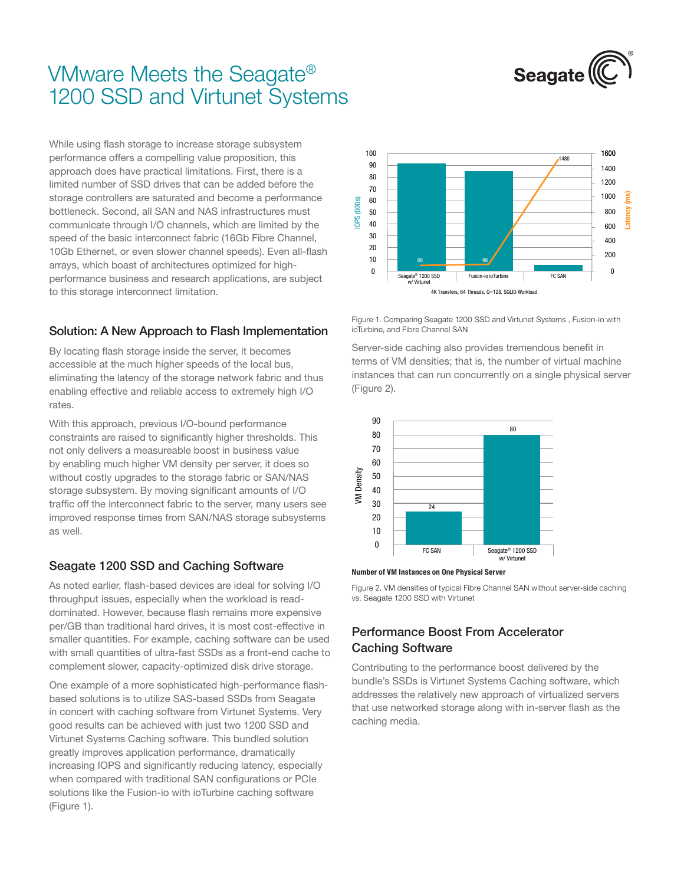

While using flash storage to increase storage subsystem performance offers a compelling value proposition, this approach does have practical limitations. First, there is a limited number of SSD drives that can be added before the storage controllers are saturated and become a performance bottleneck. Second, all SAN and NAS infrastructures must communicate through I/O channels, which are limited by the speed of the basic interconnect fabric (16Gb Fibre Channel, 10Gb Ethernet, or even slower channel speeds). Even all-flash arrays, which boast of architectures optimized for highperformance business and research applications, are subject to this storage interconnect limitation.

## Solution: A New Approach to Flash Implementation

By locating flash storage inside the server, it becomes accessible at the much higher speeds of the local bus, eliminating the latency of the storage network fabric and thus enabling effective and reliable access to extremely high I/O rates.

With this approach, previous I/O-bound performance constraints are raised to significantly higher thresholds. This not only delivers a measureable boost in business value by enabling much higher VM density per server, it does so without costly upgrades to the storage fabric or SAN/NAS storage subsystem. By moving significant amounts of I/O traffic off the interconnect fabric to the server, many users see improved response times from SAN/NAS storage subsystems as well.

## Seagate 1200 SSD and Caching Software

As noted earlier, flash-based devices are ideal for solving I/O throughput issues, especially when the workload is readdominated. However, because flash remains more expensive per/GB than traditional hard drives, it is most cost-effective in smaller quantities. For example, caching software can be used with small quantities of ultra-fast SSDs as a front-end cache to complement slower, capacity-optimized disk drive storage.

One example of a more sophisticated high-performance flashbased solutions is to utilize SAS-based SSDs from Seagate in concert with caching software from Virtunet Systems. Very good results can be achieved with just two 1200 SSD and Virtunet Systems Caching software. This bundled solution greatly improves application performance, dramatically increasing IOPS and significantly reducing latency, especially when compared with traditional SAN configurations or PCIe solutions like the Fusion-io with ioTurbine caching software (Figure 1).



Figure 1. Comparing Seagate 1200 SSD and Virtunet Systems , Fusion-io with ioTurbine, and Fibre Channel SAN

Server-side caching also provides tremendous benefit in terms of VM densities; that is, the number of virtual machine instances that can run concurrently on a single physical server (Figure 2).





Figure 2. VM densities of typical Fibre Channel SAN without server-side caching vs. Seagate 1200 SSD with Virtunet

## Performance Boost From Accelerator Caching Software

Contributing to the performance boost delivered by the bundle's SSDs is Virtunet Systems Caching software, which addresses the relatively new approach of virtualized servers that use networked storage along with in-server flash as the caching media.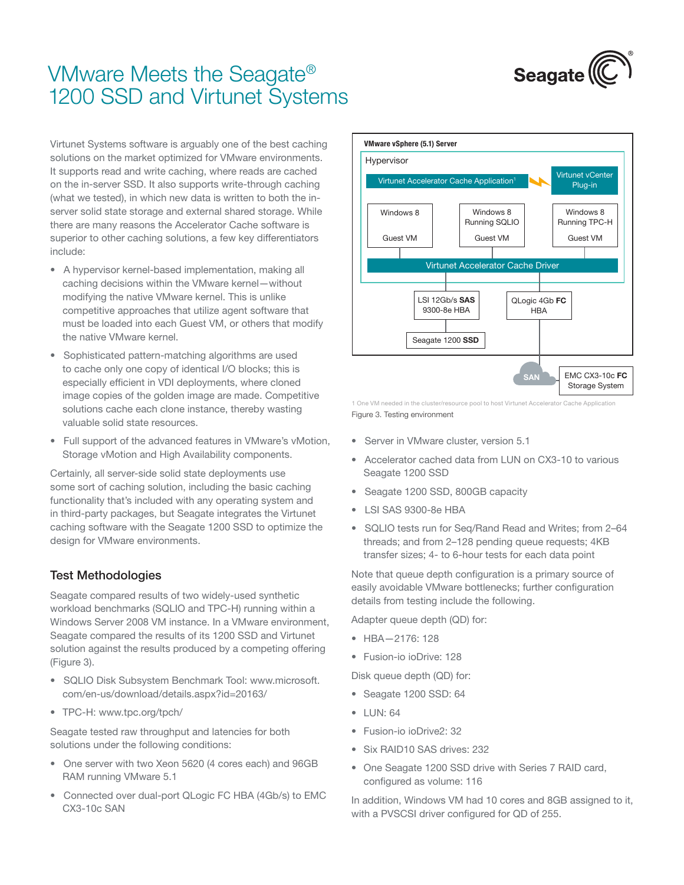

Virtunet Systems software is arguably one of the best caching solutions on the market optimized for VMware environments. It supports read and write caching, where reads are cached on the in-server SSD. It also supports write-through caching (what we tested), in which new data is written to both the inserver solid state storage and external shared storage. While there are many reasons the Accelerator Cache software is superior to other caching solutions, a few key differentiators include:

- A hypervisor kernel-based implementation, making all caching decisions within the VMware kernel—without modifying the native VMware kernel. This is unlike competitive approaches that utilize agent software that must be loaded into each Guest VM, or others that modify the native VMware kernel.
- Sophisticated pattern-matching algorithms are used to cache only one copy of identical I/O blocks; this is especially efficient in VDI deployments, where cloned image copies of the golden image are made. Competitive solutions cache each clone instance, thereby wasting valuable solid state resources.
- Full support of the advanced features in VMware's vMotion, Storage vMotion and High Availability components.

Certainly, all server-side solid state deployments use some sort of caching solution, including the basic caching functionality that's included with any operating system and in third-party packages, but Seagate integrates the Virtunet caching software with the Seagate 1200 SSD to optimize the design for VMware environments.

#### Test Methodologies

Seagate compared results of two widely-used synthetic workload benchmarks (SQLIO and TPC-H) running within a Windows Server 2008 VM instance. In a VMware environment, Seagate compared the results of its 1200 SSD and Virtunet solution against the results produced by a competing offering (Figure 3).

- SQLIO Disk Subsystem Benchmark Tool: www.microsoft. com/en-us/download/details.aspx?id=20163/
- • TPC-H: www.tpc.org/tpch/

Seagate tested raw throughput and latencies for both solutions under the following conditions:

- One server with two Xeon 5620 (4 cores each) and 96GB RAM running VMware 5.1
- Connected over dual-port QLogic FC HBA (4Gb/s) to EMC CX3-10c SAN



Figure 3. Testing environment 1 One VM needed in the cluster/resource pool to host Virtunet Accelerator Cache Application

- Server in VMware cluster, version 5.1
- Accelerator cached data from LUN on CX3-10 to various Seagate 1200 SSD
- • Seagate 1200 SSD, 800GB capacity
- • LSI SAS 9300-8e HBA
- SQLIO tests run for Seq/Rand Read and Writes; from 2-64 threads; and from 2–128 pending queue requests; 4KB transfer sizes; 4- to 6-hour tests for each data point

Note that queue depth configuration is a primary source of easily avoidable VMware bottlenecks; further configuration details from testing include the following.

Adapter queue depth (QD) for:

- • HBA—2176: 128
- • Fusion-io ioDrive: 128

Disk queue depth (QD) for:

- Seagate 1200 SSD: 64
- • LUN: 64
- • Fusion-io ioDrive2: 32
- Six RAID10 SAS drives: 232
- One Seagate 1200 SSD drive with Series 7 RAID card, configured as volume: 116

In addition, Windows VM had 10 cores and 8GB assigned to it, with a PVSCSI driver configured for QD of 255.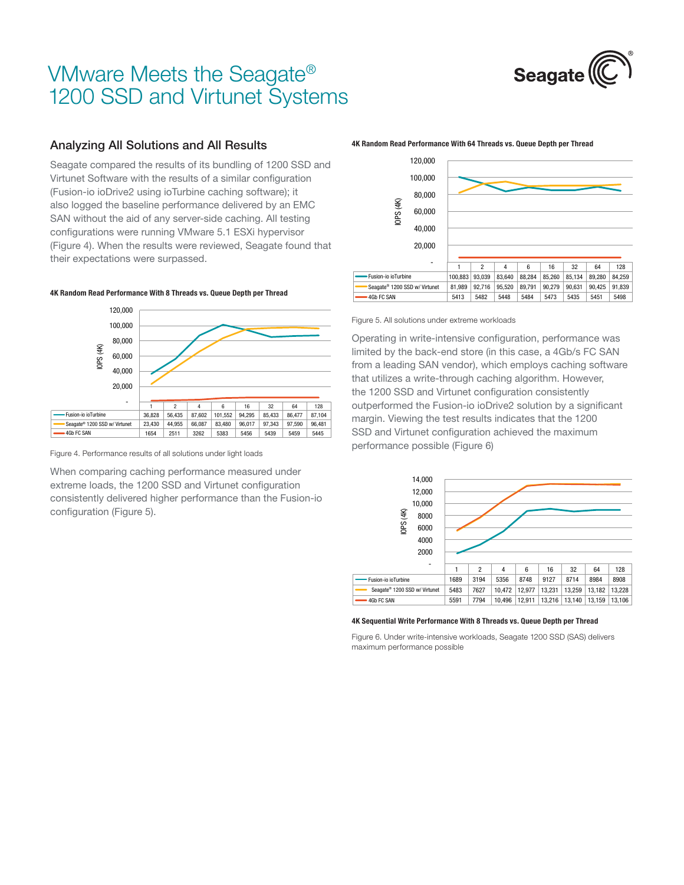

### Analyzing All Solutions and All Results

Seagate compared the results of its bundling of 1200 SSD and Virtunet Software with the results of a similar configuration (Fusion-io ioDrive2 using ioTurbine caching software); it also logged the baseline performance delivered by an EMC SAN without the aid of any server-side caching. All testing configurations were running VMware 5.1 ESXi hypervisor (Figure 4). When the results were reviewed, Seagate found that their expectations were surpassed.

#### 4K Random Read Performance With 8 Threads vs. Queue Depth per Thread



Figure 4. Performance results of all solutions under light loads

When comparing caching performance measured under extreme loads, the 1200 SSD and Virtunet configuration consistently delivered higher performance than the Fusion-io configuration (Figure 5).

#### 1 2 4 6 16 32 64 128 Fusion-io ioTurbine 100,883 93,039 83,640 88,284 85,260 85,134 89,280 84,259 Seagate® 1200 SSD w/ Virtunet | 81,989 92,716 95,520 89,791 90,279 90,631 90,425 91,839 4Gb FC SAN 5413 | 5413 | 5482 | 5484 | 5484 | 5473 | 5435 | 5451 | 5498 - 20,000 40,000 60,000 80,000 100,000 120,000 IOPS (4K)

4K Random Read Performance With 64 Threads vs. Queue Depth per Thread

Figure 5. All solutions under extreme workloads

Operating in write-intensive configuration, performance was limited by the back-end store (in this case, a 4Gb/s FC SAN from a leading SAN vendor), which employs caching software that utilizes a write-through caching algorithm. However, the 1200 SSD and Virtunet configuration consistently outperformed the Fusion-io ioDrive2 solution by a significant margin. Viewing the test results indicates that the 1200 SSD and Virtunet configuration achieved the maximum performance possible (Figure 6)



#### 4K Sequential Write Performance With 8 Threads vs. Queue Depth per Thread

Figure 6. Under write-intensive workloads, Seagate 1200 SSD (SAS) delivers maximum performance possible